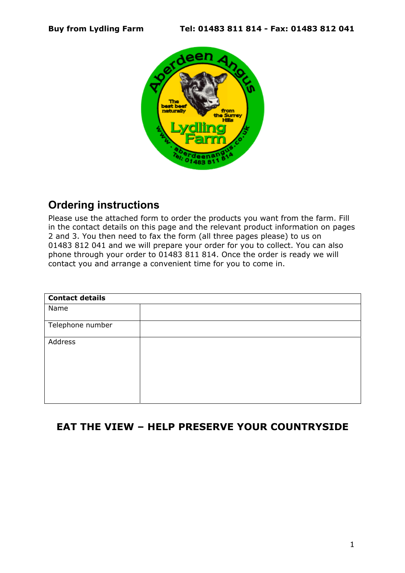

## **Ordering instructions**

Please use the attached form to order the products you want from the farm. Fill in the contact details on this page and the relevant product information on pages 2 and 3. You then need to fax the form (all three pages please) to us on 01483 812 041 and we will prepare your order for you to collect. You can also phone through your order to 01483 811 814. Once the order is ready we will contact you and arrange a convenient time for you to come in.

| <b>Contact details</b> |  |
|------------------------|--|
| Name                   |  |
| Telephone number       |  |
| Address                |  |

## **EAT THE VIEW – HELP PRESERVE YOUR COUNTRYSIDE**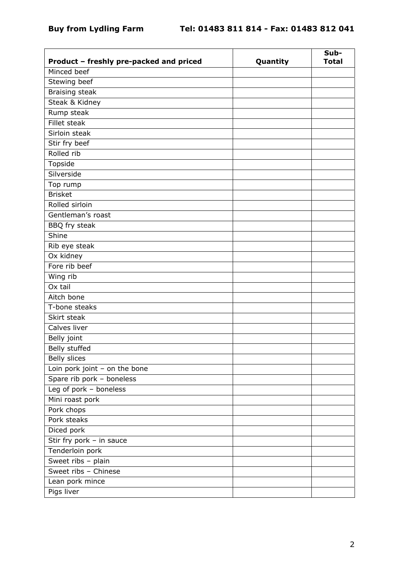| Product - freshly pre-packed and priced | Quantity | Sub-<br><b>Total</b> |
|-----------------------------------------|----------|----------------------|
| Minced beef                             |          |                      |
| Stewing beef                            |          |                      |
| Braising steak                          |          |                      |
| Steak & Kidney                          |          |                      |
| Rump steak                              |          |                      |
| Fillet steak                            |          |                      |
| Sirloin steak                           |          |                      |
| Stir fry beef                           |          |                      |
| Rolled rib                              |          |                      |
| Topside                                 |          |                      |
| Silverside                              |          |                      |
| Top rump                                |          |                      |
| <b>Brisket</b>                          |          |                      |
| Rolled sirloin                          |          |                      |
| Gentleman's roast                       |          |                      |
| BBQ fry steak                           |          |                      |
| Shine                                   |          |                      |
| Rib eye steak                           |          |                      |
| Ox kidney                               |          |                      |
| Fore rib beef                           |          |                      |
| Wing rib                                |          |                      |
| Ox tail                                 |          |                      |
| Aitch bone                              |          |                      |
| T-bone steaks                           |          |                      |
| Skirt steak                             |          |                      |
| Calves liver                            |          |                      |
| Belly joint                             |          |                      |
| Belly stuffed                           |          |                      |
| <b>Belly slices</b>                     |          |                      |
| Loin pork joint - on the bone           |          |                      |
| Spare rib pork - boneless               |          |                      |
| Leg of pork - boneless                  |          |                      |
| Mini roast pork                         |          |                      |
| Pork chops                              |          |                      |
| Pork steaks                             |          |                      |
| Diced pork                              |          |                      |
| Stir fry pork - in sauce                |          |                      |
| Tenderloin pork                         |          |                      |
| Sweet ribs - plain                      |          |                      |
| Sweet ribs - Chinese                    |          |                      |
| Lean pork mince                         |          |                      |
| Pigs liver                              |          |                      |
|                                         |          |                      |